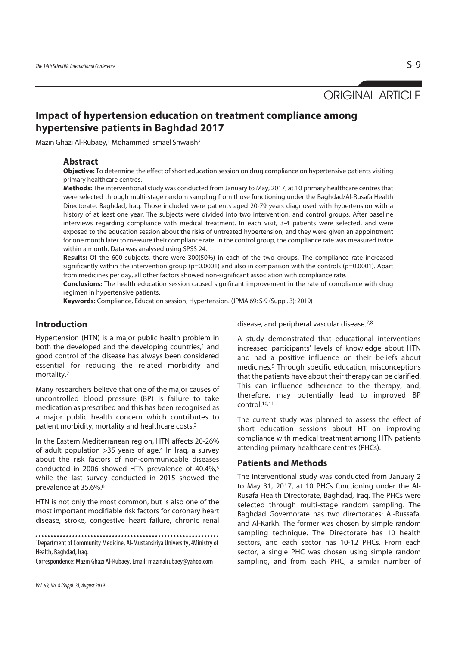ORIGINAL ARTICLE

# **Impact of hypertension education on treatment compliance among hypertensive patients in Baghdad 2017**

Mazin Ghazi Al-Rubaey,1 Mohammed Ismael Shwaish2

## **Abstract**

**Objective:** To determine the effect of short education session on drug compliance on hypertensive patients visiting primary healthcare centres.

**Methods:** The interventional study was conducted from January to May, 2017, at 10 primary healthcare centres that were selected through multi-stage random sampling from those functioning under the Baghdad/Al-Rusafa Health Directorate, Baghdad, Iraq. Those included were patients aged 20-79 years diagnosed with hypertension with a history of at least one year. The subjects were divided into two intervention, and control groups. After baseline interviews regarding compliance with medical treatment. In each visit, 3-4 patients were selected, and were exposed to the education session about the risks of untreated hypertension, and they were given an appointment for one month later to measure their compliance rate. In the control group, the compliance rate was measured twice within a month. Data was analysed using SPSS 24.

**Results:** Of the 600 subjects, there were 300(50%) in each of the two groups. The compliance rate increased significantly within the intervention group ( $p=0.0001$ ) and also in comparison with the controls ( $p=0.0001$ ). Apart from medicines per day, all other factors showed non-significant association with compliance rate.

**Conclusions:** The health education session caused significant improvement in the rate of compliance with drug regimen in hypertensive patients.

**Keywords:** Compliance, Education session, Hypertension. (JPMA 69: S-9 (Suppl. 3); 2019)

# **Introduction**

Hypertension (HTN) is a major public health problem in both the developed and the developing countries,<sup>1</sup> and good control of the disease has always been considered essential for reducing the related morbidity and mortality.2

Many researchers believe that one of the major causes of uncontrolled blood pressure (BP) is failure to take medication as prescribed and this has been recognised as a major public health concern which contributes to patient morbidity, mortality and healthcare costs.3

In the Eastern Mediterranean region, HTN affects 20-26% of adult population  $>35$  years of age.<sup>4</sup> In Iraq, a survey about the risk factors of non-communicable diseases conducted in 2006 showed HTN prevalence of 40.4%,<sup>5</sup> while the last survey conducted in 2015 showed the prevalence at 35.6%.6

HTN is not only the most common, but is also one of the most important modifiable risk factors for coronary heart disease, stroke, congestive heart failure, chronic renal

Correspondence: Mazin Ghazi Al-Rubaey. Email: mazinalrubaey@yahoo.com

disease, and peripheral vascular disease.7,8

A study demonstrated that educational interventions increased participants' levels of knowledge about HTN and had a positive influence on their beliefs about medicines.9 Through specific education, misconceptions that the patients have about their therapy can be clarified. This can influence adherence to the therapy, and, therefore, may potentially lead to improved BP control.10,11

The current study was planned to assess the effect of short education sessions about HT on improving compliance with medical treatment among HTN patients attending primary healthcare centres (PHCs).

## **Patients and Methods**

The interventional study was conducted from January 2 to May 31, 2017, at 10 PHCs functioning under the Al-Rusafa Health Directorate, Baghdad, Iraq. The PHCs were selected through multi-stage random sampling. The Baghdad Governorate has two directorates: Al-Russafa, and Al-Karkh. The former was chosen by simple random sampling technique. The Directorate has 10 health sectors, and each sector has 10-12 PHCs. From each sector, a single PHC was chosen using simple random sampling, and from each PHC, a similar number of

<sup>1</sup>Department of Community Medicine, Al-Mustansiriya University, 2Ministry of Health, Baghdad, Iraq.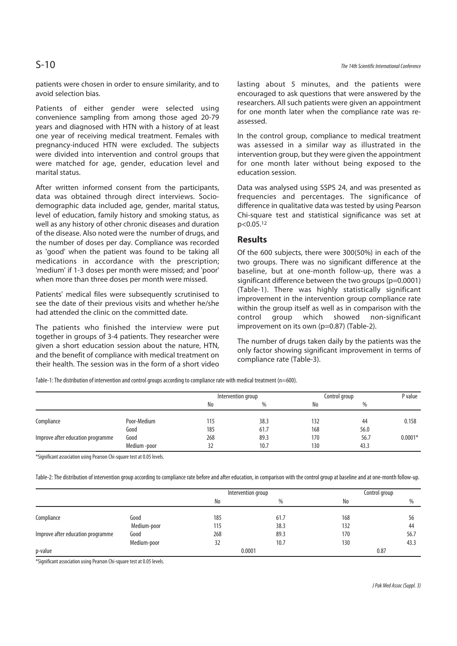Patients of either gender were selected using convenience sampling from among those aged 20-79 years and diagnosed with HTN with a history of at least one year of receiving medical treatment. Females with pregnancy-induced HTN were excluded. The subjects were divided into intervention and control groups that were matched for age, gender, education level and marital status.

After written informed consent from the participants, data was obtained through direct interviews. Sociodemographic data included age, gender, marital status, level of education, family history and smoking status, as well as any history of other chronic diseases and duration of the disease. Also noted were the number of drugs, and the number of doses per day. Compliance was recorded as 'good' when the patient was found to be taking all medications in accordance with the prescription; 'medium' if 1-3 doses per month were missed; and 'poor' when more than three doses per month were missed.

Patients' medical files were subsequently scrutinised to see the date of their previous visits and whether he/she had attended the clinic on the committed date.

The patients who finished the interview were put together in groups of 3-4 patients. They researcher were given a short education session about the nature, HTN, and the benefit of compliance with medical treatment on their health. The session was in the form of a short video lasting about 5 minutes, and the patients were encouraged to ask questions that were answered by the researchers. All such patients were given an appointment for one month later when the compliance rate was reassessed.

In the control group, compliance to medical treatment was assessed in a similar way as illustrated in the intervention group, but they were given the appointment for one month later without being exposed to the education session.

Data was analysed using SSPS 24, and was presented as frequencies and percentages. The significance of difference in qualitative data was tested by using Pearson Chi-square test and statistical significance was set at  $p < 0.05$ <sup>12</sup>

# **Results**

Of the 600 subjects, there were 300(50%) in each of the two groups. There was no significant difference at the baseline, but at one-month follow-up, there was a significant difference between the two groups (p=0.0001) (Table-1). There was highly statistically significant improvement in the intervention group compliance rate within the group itself as well as in comparison with the control group which showed non-significant improvement on its own (p=0.87) (Table-2).

The number of drugs taken daily by the patients was the only factor showing significant improvement in terms of compliance rate (Table-3).

Table-1: The distribution of intervention and control groups according to compliance rate with medical treatment (n=600).

|                                   |              | Intervention group |      | Control group |      | P value   |
|-----------------------------------|--------------|--------------------|------|---------------|------|-----------|
|                                   |              | No                 | %    | No            | %    |           |
| Compliance                        | Poor-Medium  | 115                | 38.3 | 132           | 44   | 0.158     |
|                                   | Good         | 185                | 61.7 | 168           | 56.0 |           |
| Improve after education programme | Good         | 268                | 89.3 | 170           | 56.7 | $0.0001*$ |
|                                   | Medium -poor | 32                 | 10.7 | 130           | 43.3 |           |

\*Significant association using Pearson Chi-square test at 0.05 levels.

Table-2: The distribution of intervention group according to compliance rate before and after education, in comparison with the control group at baseline and at one-month follow-up.

|                                   |             | Intervention group |      | Control group |      |  |
|-----------------------------------|-------------|--------------------|------|---------------|------|--|
|                                   |             | No                 | %    | No            | $\%$ |  |
| Compliance                        | Good        | 185                | 61.7 | 168           | 56   |  |
|                                   | Medium-poor | 115                | 38.3 | 132           | 44   |  |
| Improve after education programme | Good        | 268                | 89.3 | 170           | 56.7 |  |
|                                   | Medium-poor | 32                 | 10.7 | 130           | 43.3 |  |
| p-value                           |             | 0.0001             |      |               | 0.87 |  |

\*Significant association using Pearson Chi-square test at 0.05 levels.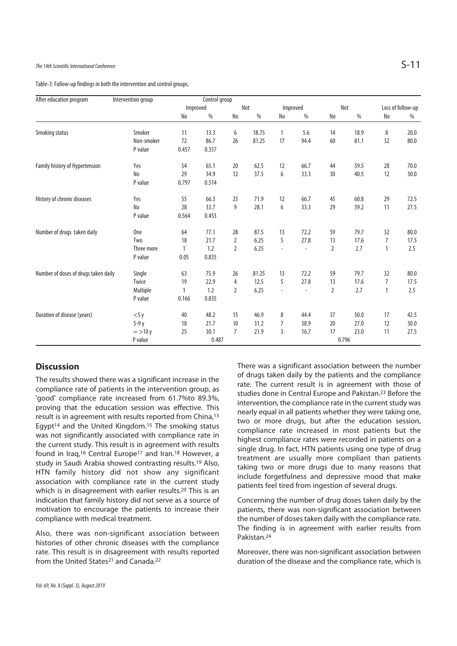Table-3: Follow-up findings in both the intervention and control groups.

| After education program              | Intervention group | Control group |         |                |       |                          |                          |                |       |              |                   |  |
|--------------------------------------|--------------------|---------------|---------|----------------|-------|--------------------------|--------------------------|----------------|-------|--------------|-------------------|--|
|                                      |                    | Improved      |         |                | Not   |                          | Improved                 |                | Not   |              | Loss of follow-up |  |
|                                      |                    | No            | $\%$    | No             | $\%$  | No                       | $\%$                     | No             | $\%$  | No           | %                 |  |
| Smoking status                       | Smoker             | 11            | 13.3    | 6              | 18.75 | 1                        | 5.6                      | 14             | 18.9  | 8            | 20.0              |  |
|                                      | Non-smoker         | 72            | 86.7    | 26             | 81.25 | 17                       | 94.4                     | 60             | 81.1  | 32           | 80.0              |  |
|                                      | P value            | 0.457         | 0.357   |                |       |                          |                          |                |       |              |                   |  |
| Family history of Hypertension       | Yes                | 54            | 65.1    | 20             | 62.5  | 12                       | 66.7                     | 44             | 59.5  | 28           | 70.0              |  |
|                                      | No                 | 29            | 34.9    | 12             | 37.5  | 6                        | 33.3                     | 30             | 40.5  | 12           | 30.0              |  |
|                                      | P value            | 0.797         | 0.514   |                |       |                          |                          |                |       |              |                   |  |
| History of chronic diseases          | Yes                | 55            | 66.3    | 23             | 71.9  | 12                       | 66.7                     | 45             | 60.8  | 29           | 72.5              |  |
|                                      | No                 | 28            | 33.7    | 9              | 28.1  | 6                        | 33.3                     | 29             | 39.2  | 11           | 27.5              |  |
|                                      | P value            | 0.564         | 0.453   |                |       |                          |                          |                |       |              |                   |  |
| Number of drugs taken daily          | <b>One</b>         | 64            | 77.1    | 28             | 87.5  | 13                       | 72.2                     | 59             | 79.7  | 32           | 80.0              |  |
|                                      | Two                | 18            | 21.7    | 2              | 6.25  | 5                        | 27.8                     | 13             | 17.6  | 7            | 17.5              |  |
|                                      | Three more         | 1             | 1.2     | $\overline{2}$ | 6.25  | $\overline{\phantom{a}}$ | $\overline{\phantom{a}}$ | $\overline{2}$ | 2.7   | $\mathbf{1}$ | 2.5               |  |
|                                      | P value            | 0.05          | 0.835   |                |       |                          |                          |                |       |              |                   |  |
| Number of doses of drugs taken daily | Single             | 63            | 75.9    | 26             | 81.25 | 13                       | 72.2                     | 59             | 79.7  | 32           | 80.0              |  |
|                                      | Twice              | 19            | 22.9    | 4              | 12.5  | 5                        | 27.8                     | 13             | 17.6  | 7            | 17.5              |  |
|                                      | Multiple           |               | $1.2\,$ | 2              | 6.25  | $\overline{\phantom{a}}$ | $\overline{a}$           | 2              | 2.7   | 1            | 2.5               |  |
|                                      | P value            | 0.166         | 0.835   |                |       |                          |                          |                |       |              |                   |  |
| Duration of disease (years)          | $<$ 5 y            | 40            | 48.2    | 15             | 46.9  | 8                        | 44.4                     | 37             | 50.0  | 17           | 42.5              |  |
|                                      | 5-9 y              | 18            | 21.7    | 10             | 31.2  | 7                        | 38.9                     | 20             | 27.0  | 12           | 30.0              |  |
|                                      | $=$ >10 y          | 25            | 30.1    | 7              | 21.9  | 3                        | 16.7                     | 17             | 23.0  | 11           | 27.5              |  |
|                                      | P value            |               | 0.487   |                |       |                          |                          |                | 0.796 |              |                   |  |

# **Discussion**

The results showed there was a significant increase in the compliance rate of patients in the intervention group, as 'good' compliance rate increased from 61.7%to 89.3%, proving that the education session was effective. This result is in agreement with results reported from China,13 Egypt<sup>14</sup> and the United Kingdom.<sup>15</sup> The smoking status was not significantly associated with compliance rate in the current study. This result is in agreement with results found in Iraq,<sup>16</sup> Central Europe<sup>17</sup> and Iran.<sup>18</sup> However, a study in Saudi Arabia showed contrasting results.19 Also, HTN family history did not show any significant association with compliance rate in the current study which is in disagreement with earlier results.<sup>20</sup> This is an indication that family history did not serve as a source of motivation to encourage the patients to increase their compliance with medical treatment.

Also, there was non-significant association between histories of other chronic diseases with the compliance rate. This result is in disagreement with results reported from the United States<sup>21</sup> and Canada.<sup>22</sup>

There was a significant association between the number of drugs taken daily by the patients and the compliance rate. The current result is in agreement with those of studies done in Central Europe and Pakistan.23 Before the intervention, the compliance rate in the current study was nearly equal in all patients whether they were taking one, two or more drugs, but after the education session, compliance rate increased in most patients but the highest compliance rates were recorded in patients on a single drug. In fact, HTN patients using one type of drug treatment are usually more compliant than patients taking two or more drugs due to many reasons that include forgetfulness and depressive mood that make patients feel tired from ingestion of several drugs.

Concerning the number of drug doses taken daily by the patients, there was non-significant association between the number of doses taken daily with the compliance rate. The finding is in agreement with earlier results from Pakistan.24

Moreover, there was non-significant association between duration of the disease and the compliance rate, which is